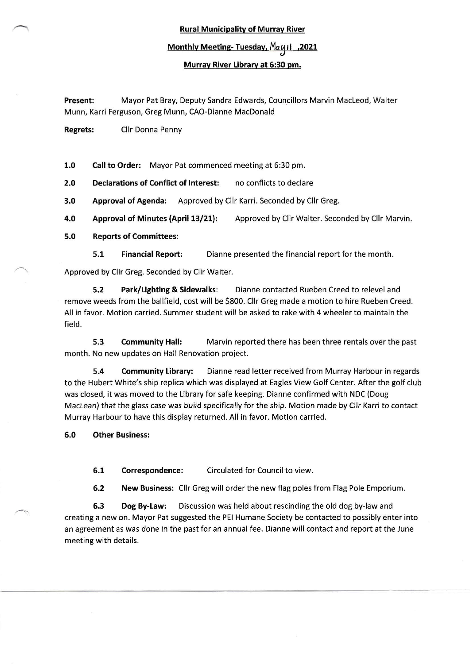Rural Municipality of Murrav River

## Monthly Meeting- Tuesday, May 11 ,2021

## Murrav River Library at 5:30 pm.

Present: Mayor Pat Bray, Deputy Sandra Edwards, Councillors Marvin MacLeod, Walter Munn, Karri Ferguson, Greg Munn, CAO-Dianne MacDonald

Regrets: Cllr Donna Penny

1.0 Call to Order: Mayor Pat commenced meeting at 6:30 pm.

2.0 Declarations of Conflict of Interest: no conflicts to declare

3.0 Approval of Agenda: Approved by Cllr Karri. Seconded by Cllr Greg.

4.0 Approval of Minutes (April 13/21): Approved by Cllr Walter. Seconded by Cllr Marvin.

5.0 Reports of Committees:

5.1 Financial Report: Dianne presented the financial report for the month.

Approved by cllr Greg. Seconded by Cllr Walter.

5.2 Park/Lighting & Sidewalk: Dianne contacted Rueben Creed to relevel and remove weeds from the ballfield, cost will be 5800. Cllr Greg made a motion to hire Rueben Creed. All in favor. Motion carried. Summer student will be asked to rake with 4 wheeler to maintain the field.

5.3 Community Hall: Marvin reported there has been three rentals over the past month. No new updates on Hall Renovation project.

5.4 Community Library: Dianne read letter received from Murray Harbour in regards to the Hubert White's ship replica which was displayed at Eagles View Golf Center. After the golf club was closed, it was moved to the Library for safe keeping. Dianne confirmed with NDC (Doug Maclean) that the glass case was build specifically for the ship. Motion made by cllr Karri to contact Murray Harbour to have this display returned. All in favor. Motion carried.

5.0 Other Business:

5.1 Correspondence: Circulated for Council to view.

6.2 New Business: Cllr Greg will order the new flag poles from Flag Pole Emporium.

6.3 Dog By-Law: Discussion was held about rescinding the old dog by-law and creating a new on. Mayor Pat suggested the PEI Humane Society be contacted to possibly enter into an agreement as was done in the past for an annual fee. Dianne will contact and report at the June meeting with details.